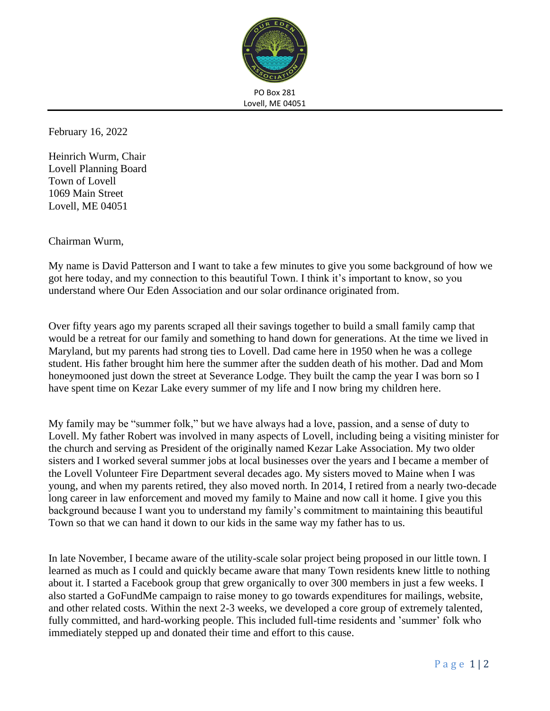

PO Box 281 Lovell, ME 04051

February 16, 2022

Heinrich Wurm, Chair Lovell Planning Board Town of Lovell 1069 Main Street Lovell, ME 04051

Chairman Wurm,

My name is David Patterson and I want to take a few minutes to give you some background of how we got here today, and my connection to this beautiful Town. I think it's important to know, so you understand where Our Eden Association and our solar ordinance originated from.

Over fifty years ago my parents scraped all their savings together to build a small family camp that would be a retreat for our family and something to hand down for generations. At the time we lived in Maryland, but my parents had strong ties to Lovell. Dad came here in 1950 when he was a college student. His father brought him here the summer after the sudden death of his mother. Dad and Mom honeymooned just down the street at Severance Lodge. They built the camp the year I was born so I have spent time on Kezar Lake every summer of my life and I now bring my children here.

My family may be "summer folk," but we have always had a love, passion, and a sense of duty to Lovell. My father Robert was involved in many aspects of Lovell, including being a visiting minister for the church and serving as President of the originally named Kezar Lake Association. My two older sisters and I worked several summer jobs at local businesses over the years and I became a member of the Lovell Volunteer Fire Department several decades ago. My sisters moved to Maine when I was young, and when my parents retired, they also moved north. In 2014, I retired from a nearly two-decade long career in law enforcement and moved my family to Maine and now call it home. I give you this background because I want you to understand my family's commitment to maintaining this beautiful Town so that we can hand it down to our kids in the same way my father has to us.

In late November, I became aware of the utility-scale solar project being proposed in our little town. I learned as much as I could and quickly became aware that many Town residents knew little to nothing about it. I started a Facebook group that grew organically to over 300 members in just a few weeks. I also started a GoFundMe campaign to raise money to go towards expenditures for mailings, website, and other related costs. Within the next 2-3 weeks, we developed a core group of extremely talented, fully committed, and hard-working people. This included full-time residents and 'summer' folk who immediately stepped up and donated their time and effort to this cause.